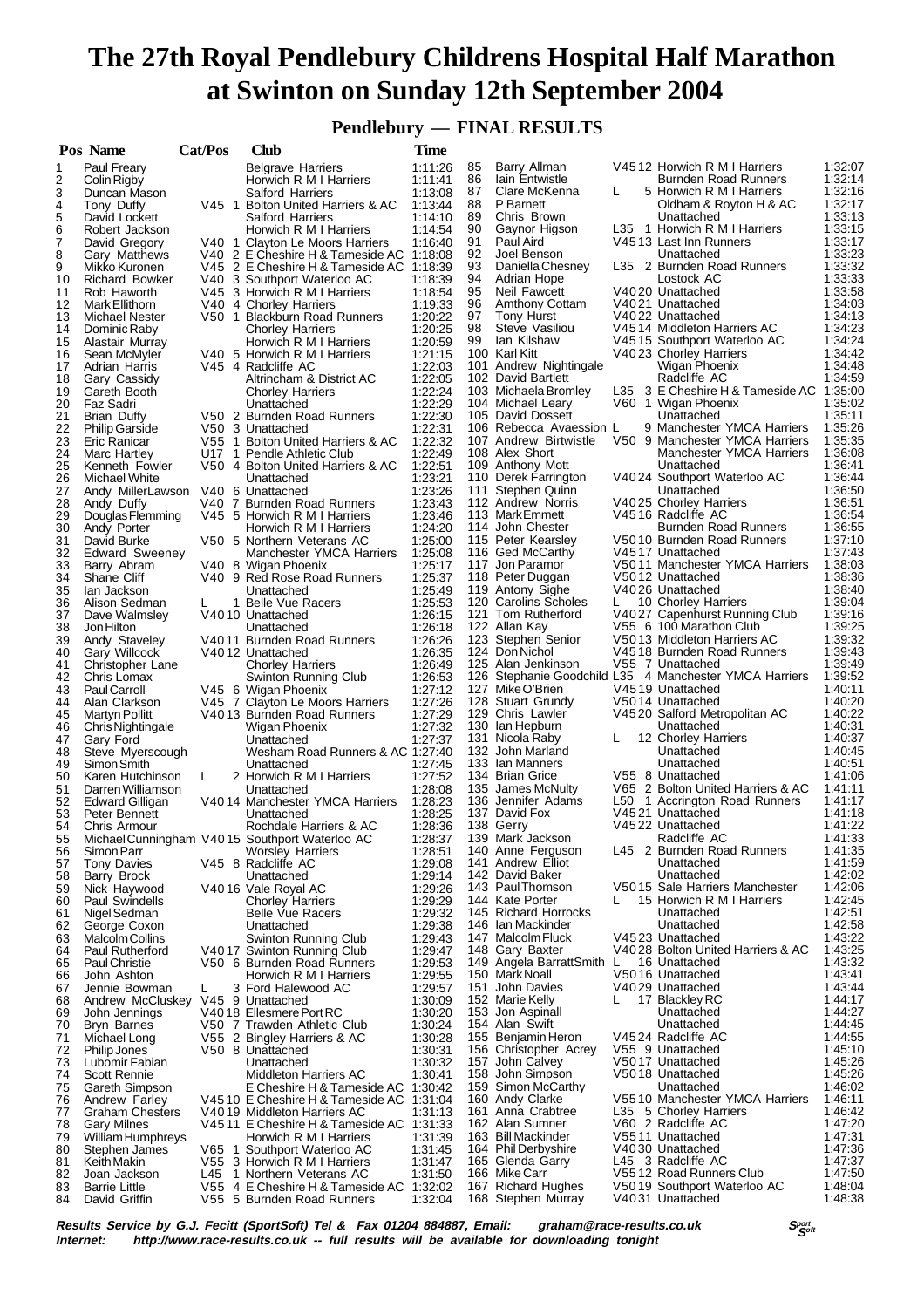# **The 27th Royal Pendlebury Childrens Hospital Half Marathon at Swinton on Sunday 12th September 2004**

 **Pendlebury — FINAL RESULTS**

|          | Pos Name                                           | Cat/Pos | Club                                                               | <b>Time</b>        |          |                                            |   |                                                        |                    |
|----------|----------------------------------------------------|---------|--------------------------------------------------------------------|--------------------|----------|--------------------------------------------|---|--------------------------------------------------------|--------------------|
| 1        | Paul Freary                                        |         | <b>Belgrave Harriers</b>                                           | 1:11:26            | 85       | Barry Allman                               |   | V4512 Horwich R M I Harriers                           | 1:32:07            |
| 2        | Colin Rigby                                        |         | Horwich R M I Harriers                                             | 1:11:41            | 86       | lain Entwistle                             |   | <b>Burnden Road Runners</b>                            | 1:32:14            |
| 3        | Duncan Mason                                       |         | Salford Harriers                                                   | 1:13:08            | 87       | Clare McKenna                              | L | 5 Horwich R M I Harriers                               | 1:32:16            |
| 4        | Tony Duffy                                         |         | V45 1 Bolton United Harriers & AC                                  | 1:13:44            | 88       | P Barnett                                  |   | Oldham & Royton H & AC                                 | 1:32:17            |
| 5<br>6   | David Lockett                                      |         | Salford Harriers                                                   | 1:14:10            | 89<br>90 | Chris Brown                                |   | Unattached<br>L35 1 Horwich R M I Harriers             | 1:33:13<br>1:33:15 |
| 7        | Robert Jackson<br>David Gregory                    |         | Horwich R M I Harriers<br>V40 1 Clayton Le Moors Harriers          | 1:14:54<br>1:16:40 | 91       | Gaynor Higson<br>Paul Aird                 |   | V4513 Last Inn Runners                                 | 1:33:17            |
| 8        | Gary Matthews                                      |         | V40 2 E Cheshire H & Tameside AC                                   | 1:18:08            | 92       | Joel Benson                                |   | Unattached                                             | 1:33:23            |
| 9        | Mikko Kuronen                                      |         | V45 2 E Cheshire H & Tameside AC 1:18:39                           |                    | 93       | Daniella Chesney                           |   | L35 2 Burnden Road Runners                             | 1:33:32            |
| 10       | <b>Richard Bowker</b>                              |         | V40 3 Southport Waterloo AC                                        | 1:18:39            | 94       | Adrian Hope                                |   | Lostock AC                                             | 1:33:33            |
| 11       | Rob Haworth                                        |         | V45 3 Horwich R M I Harriers                                       | 1:18:54            | 95       | Neil Fawcett                               |   | V4020 Unattached                                       | 1:33:58            |
| 12       | Mark Ellithorn                                     |         | V40 4 Chorley Harriers                                             | 1:19:33            | 96       | Amthony Cottam                             |   | V4021 Unattached                                       | 1:34:03            |
| 13       | <b>Michael Nester</b>                              |         | V50 1 Blackburn Road Runners                                       | 1:20:22            | 97       | <b>Tony Hurst</b>                          |   | V4022 Unattached                                       | 1:34:13            |
| 14       | Dominic Raby                                       |         | <b>Chorley Harriers</b>                                            | 1:20:25            | 98       | Steve Vasiliou                             |   | V4514 Middleton Harriers AC                            | 1:34:23            |
| 15       | Alastair Murray                                    |         | Horwich R M I Harriers                                             | 1:20:59            | 99       | lan Kilshaw<br>100 Karl Kitt               |   | V4515 Southport Waterloo AC<br>V4023 Chorley Harriers  | 1:34:24<br>1:34:42 |
| 16<br>17 | Sean McMyler<br>Adrian Harris                      |         | V40 5 Horwich R M I Harriers<br>V45 4 Radcliffe AC                 | 1:21:15<br>1:22:03 |          | 101 Andrew Nightingale                     |   | Wigan Phoenix                                          | 1:34:48            |
| 18       | Gary Cassidy                                       |         | Altrincham & District AC                                           | 1:22:05            |          | 102 David Bartlett                         |   | Radcliffe AC                                           | 1:34:59            |
| 19       | Gareth Booth                                       |         | <b>Chorley Harriers</b>                                            | 1:22:24            |          | 103 Michaela Bromley                       |   | L35 3 E Cheshire H & Tameside AC                       | 1:35:00            |
| 20       | Faz Sadri                                          |         | Unattached                                                         | 1:22:29            |          | 104 Michael Leary                          |   | V60 1 Wigan Phoenix                                    | 1:35:02            |
| 21       | Brian Duffy                                        |         | V50 2 Burnden Road Runners                                         | 1:22:30            |          | 105 David Dossett                          |   | Unattached                                             | 1:35:11            |
| 22       | <b>Philip Garside</b>                              |         | V50 3 Unattached                                                   | 1:22:31            |          | 106 Rebecca Avaession L                    |   | 9 Manchester YMCA Harriers                             | 1:35:26            |
| 23       | Eric Ranicar                                       |         | V55 1 Bolton United Harriers & AC                                  | 1:22:32            |          | 107 Andrew Birtwistle                      |   | V50 9 Manchester YMCA Harriers                         | 1:35:35            |
| 24       | Marc Hartley                                       |         | U17 1 Pendle Athletic Club                                         | 1:22:49            |          | 108 Alex Short                             |   | Manchester YMCA Harriers                               | 1:36:08            |
| 25<br>26 | Kenneth Fowler                                     |         | V50 4 Bolton United Harriers & AC                                  | 1:22:51<br>1:23:21 |          | 109 Anthony Mott<br>110 Derek Farrington   |   | Unattached<br>V4024 Southport Waterloo AC              | 1:36:41<br>1:36:44 |
| 27       | Michael White<br>Andy MillerLawson                 |         | Unattached<br>V40 6 Unattached                                     | 1:23:26            | 111      | Stephen Quinn                              |   | Unattached                                             | 1:36:50            |
| 28       | Andy Duffy                                         |         | V40 7 Burnden Road Runners                                         | 1:23:43            |          | 112 Andrew Norris                          |   | V4025 Chorley Harriers                                 | 1:36:51            |
| 29       | Douglas Flemming                                   |         | V45 5 Horwich R M I Harriers                                       | 1:23:46            |          | 113 Mark Emmett                            |   | V4516 Radcliffe AC                                     | 1:36:54            |
| 30       | Andy Porter                                        |         | Horwich R M I Harriers                                             | 1:24:20            |          | 114 John Chester                           |   | Burnden Road Runners                                   | 1:36:55            |
| 31       | David Burke                                        |         | V50 5 Northern Veterans AC                                         | 1:25:00            |          | 115 Peter Kearsley                         |   | V5010 Burnden Road Runners                             | 1:37:10            |
| 32       | <b>Edward Sweeney</b>                              |         | Manchester YMCA Harriers                                           | 1.25.08            |          | 116 Ged McCarthy                           |   | V4517 Unattached                                       | 1:37:43            |
| 33       | Barry Abram                                        |         | V40 8 Wigan Phoenix                                                | 1:25:17            |          | 117 Jon Paramor                            |   | V5011 Manchester YMCA Harriers                         | 1:38:03            |
| 34       | Shane Cliff                                        |         | V40 9 Red Rose Road Runners                                        | 1:25:37            |          | 118 Peter Duggan                           |   | V5012 Unattached                                       | 1:38:36            |
| 35       | lan Jackson                                        |         | Unattached                                                         | 1:25:49            |          | 119 Antony Sighe                           |   | V4026 Unattached                                       | 1:38:40            |
| 36<br>37 | Alison Sedman                                      | L.      | 1 Belle Vue Racers<br>V4010 Unattached                             | 1:25:53<br>1:26:15 |          | 120 Carolins Scholes<br>121 Tom Rutherford |   | 10 Chorley Harriers<br>V4027 Capenhurst Running Club   | 1:39:04<br>1:39:16 |
| 38       | Dave Walmsley<br>Jon Hilton                        |         | Unattached                                                         | 1:26:18            |          | 122 Allan Kay                              |   | V55 6 100 Marathon Club                                | 1:39:25            |
| 39       | Andy Staveley                                      |         | V4011 Burnden Road Runners                                         | 1:26:26            |          | 123 Stephen Senior                         |   | V5013 Middleton Harriers AC                            | 1:39:32            |
| 40       | <b>Gary Willcock</b>                               |         | V4012 Unattached                                                   | 1:26:35            |          | 124 Don Nichol                             |   | V4518 Burnden Road Runners                             | 1:39:43            |
| 41       | Christopher Lane                                   |         | <b>Chorley Harriers</b>                                            | 1:26:49            |          | 125 Alan Jenkinson                         |   | V55 7 Unattached                                       | 1:39:49            |
| 42       | Chris Lomax                                        |         | Swinton Running Club                                               | 1:26:53            |          |                                            |   | 126 Stephanie Goodchild L35 4 Manchester YMCA Harriers | 1:39:52            |
| 43       | <b>PaulCarroll</b>                                 |         | V45 6 Wigan Phoenix                                                | 1:27:12            |          | 127 Mike O'Brien                           |   | V4519 Unattached                                       | 1:40:11            |
| 44       | Alan Clarkson                                      |         | V45 7 Clayton Le Moors Harriers                                    | 1:27:26            |          | 128 Stuart Grundy                          |   | V5014 Unattached                                       | 1:40:20            |
| 45       | Martyn Pollitt                                     |         | V4013 Burnden Road Runners                                         | 1:27:29            |          | 129 Chris Lawler                           |   | V4520 Salford Metropolitan AC                          | 1:40:22            |
| 46<br>47 | Chris Nightingale                                  |         | Wigan Phoenix<br>Unattached                                        | 1:27:32<br>1:27:37 |          | 130 Ian Hepburn<br>131 Nicola Raby         | L | Unattached<br>12 Chorley Harriers                      | 1:40:31<br>1:40:37 |
| 48       | Gary Ford<br>Steve Myerscough                      |         | Wesham Road Runners & AC 1:27:40                                   |                    |          | 132 John Marland                           |   | Unattached                                             | 1:40:45            |
| 49       | Simon Smith                                        |         | Unattached                                                         | 1.27:45            |          | 133 Ian Manners                            |   | Unattached                                             | 1:40:51            |
| 50       | Karen Hutchinson                                   | L       | 2 Horwich R M I Harriers                                           | 1:27:52            |          | 134 Brian Grice                            |   | V55 8 Unattached                                       | 1:41:06            |
| 51       | Darren Williamson                                  |         | Unattached                                                         | 1:28:08            |          | 135 James McNulty                          |   | V65 2 Bolton United Harriers & AC                      | 1:41:11            |
| 52       | Edward Gilligan                                    |         | V4014 Manchester YMCA Harriers                                     | 1:28:23            |          | 136 Jennifer Adams                         |   | L50 1 Accrington Road Runners                          | 1:41:17            |
| 53       | Peter Bennett                                      |         | Unattached                                                         | 1:28:25            |          | 137 David Fox                              |   | V4521 Unattached                                       | 1:41:18            |
| 54       | Chris Armour                                       |         | Rochdale Harriers & AC                                             | 1:28:36            |          | 138 Gerry                                  |   | V4522 Unattached                                       | 1:41:22            |
| 55       |                                                    |         | Michael Cunningham V4015 Southport Waterloo AC                     | 1.28.37            |          | 139 Mark Jackson                           |   | Radcliffe AC<br>L45 2 Burnden Road Runners             | 1:41:33            |
| 56<br>57 | Simon Parr                                         |         | <b>Worsley Harriers</b>                                            | 1:28:51<br>1:29:08 | 141      | 140 Anne Ferguson<br>Andrew Elliot         |   | Unattached                                             | 1:41:35<br>1:41:59 |
| 58       | <b>Tony Davies</b><br>Barry Brock                  |         | V45 8 Radcliffe AC<br>Unattached                                   | 1:29:14            |          | 142 David Baker                            |   | Unattached                                             | 1:42:02            |
| 59       | Nick Haywood                                       |         | V4016 Vale Royal AC                                                | 1:29:26            |          | 143 Paul Thomson                           |   | V5015 Sale Harriers Manchester                         | 1:42:06            |
| 60       | <b>Paul Swindells</b>                              |         | <b>Chorley Harriers</b>                                            | 1:29:29            |          | 144 Kate Porter                            | L | 15 Horwich R M I Harriers                              | 1:42:45            |
| 61       | Nigel Sedman                                       |         | <b>Belle Vue Racers</b>                                            | 1:29:32            |          | 145 Richard Horrocks                       |   | Unattached                                             | 1:42:51            |
| 62       | George Coxon                                       |         | Unattached                                                         | 1:29:38            |          | 146 Ian Mackinder                          |   | Unattached                                             | 1:42:58            |
| 63       | Malcolm Collins                                    |         | Swinton Running Club                                               | 1.29.43            |          | 147 Malcolm Fluck                          |   | V4523 Unattached                                       | 1:43:22            |
| 64       | <b>Paul Rutherford</b>                             |         | V4017 Swinton Running Club                                         | 1:29:47            |          | 148 Gary Baxter                            |   | V4028 Bolton United Harriers & AC                      | 1:43:25            |
| 65       | <b>Paul Christie</b>                               |         | V50 6 Burnden Road Runners                                         | 1:29:53            |          | 149 Angela BarrattSmith L                  |   | 16 Unattached                                          | 1:43:32            |
| 66       | John Ashton                                        |         | Horwich R M I Harriers<br>3 Ford Halewood AC                       | 1:29:55<br>1:29.57 |          | 150 Mark Noall<br>151 John Davies          |   | V5016 Unattached<br>V4029 Unattached                   | 1:43:41<br>1:43:44 |
| 67<br>68 | Jennie Bowman<br>Andrew McCluskey V45 9 Unattached | L       |                                                                    | 1:30:09            |          | 152 Marie Kelly                            |   | 17 Blackley RC                                         | 1:44:17            |
| 69       | John Jennings                                      |         | V4018 Ellesmere Port RC                                            | 1:30:20            |          | 153 Jon Aspinall                           |   | Unattached                                             | 1:44:27            |
| 70       | Bryn Barnes                                        |         | V50 7 Trawden Athletic Club                                        | 1:30:24            |          | 154 Alan Swift                             |   | Unattached                                             | 1:44:45            |
| 71       | Michael Long                                       |         | V55 2 Bingley Harriers & AC                                        | 1:30:28            |          | 155 Benjamin Heron                         |   | V4524 Radcliffe AC                                     | 1:44:55            |
| 72       | <b>Philip Jones</b>                                |         | V50 8 Unattached                                                   | 1:30:31            |          | 156 Christopher Acrey                      |   | V55 9 Unattached                                       | 1:45:10            |
| 73       | Lubomir Fabian                                     |         | Unattached                                                         | 1:30:32            |          | 157 John Calvey                            |   | V5017 Unattached                                       | 1:45:26            |
| 74       | Scott Rennie                                       |         | Middleton Harriers AC                                              | 1:30:41            |          | 158 John Simpson                           |   | V5018 Unattached                                       | 1:45:26            |
| 75       | Gareth Simpson                                     |         | E Cheshire H & Tameside AC                                         | 1:30:42            |          | 159 Simon McCarthy                         |   | Unattached                                             | 1:46:02            |
| 76       | Andrew Farley                                      |         | V4510 E Cheshire H & Tameside AC                                   | 1:31:04            |          | 160 Andy Clarke                            |   | V5510 Manchester YMCA Harriers                         | 1:46:11            |
| 77       | Graham Chesters                                    |         | V4019 Middleton Harriers AC                                        | 1:31:13            |          | 161 Anna Crabtree<br>162 Alan Sumner       |   | L35 5 Chorley Harriers<br>V60 2 Radcliffe AC           | 1:46:42<br>1:47:20 |
| 78<br>79 | <b>Gary Milnes</b><br>William Humphreys            |         | V4511 E Cheshire H & Tameside AC 1:31:33<br>Horwich R M I Harriers | 1:31:39            |          | 163 Bill Mackinder                         |   | V5511 Unattached                                       | 1:47:31            |
| 80       | Stephen James                                      |         | V65 1 Southport Waterloo AC                                        | 1:31:45            |          | 164 Phil Derbyshire                        |   | V4030 Unattached                                       | 1:47:36            |
| 81       | Keith Makin                                        |         | V55 3 Horwich R M I Harriers                                       | 1:31:47            |          | 165 Glenda Garry                           |   | L45 3 Radcliffe AC                                     | 1:47:37            |
| 82       | Joan Jackson                                       |         | L45 1 Northern Veterans AC                                         | 1:31:50            |          | 166 Mike Carr                              |   | V5512 Road Runners Club                                | 1:47:50            |
| 83       | <b>Barrie Little</b>                               |         | V55 4 E Cheshire H & Tameside AC 1:32:02                           |                    |          | 167 Richard Hughes                         |   | V5019 Southport Waterloo AC                            | 1:48:04            |
| 84       | David Griffin                                      |         | V55 5 Burnden Road Runners                                         | 1:32:04            |          | 168 Stephen Murray                         |   | V4031 Unattached                                       | 1:48:38            |

**Results Service by G.J. Fecitt (SportSoft) Tel & Fax 01204 884887, Email: graham@race-results.co.uk S<sup>port</sup>, S<sup>port</sup>, Internet: http://www.race-results.co.uk -- full results will be available for downloading tonight** http://www.race-results.co.uk -- full results will be available for downloading tonight